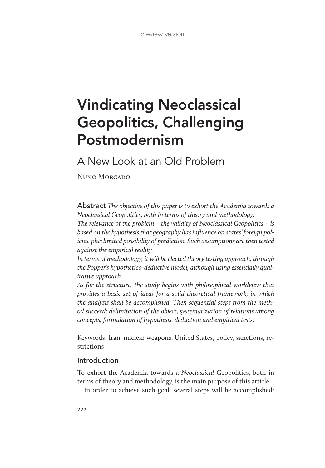# Vindicating Neoclassical Geopolitics, Challenging Postmodernism

A New Look at an Old Problem

Nuno Morgado

Abstract *The objective of this paper is to exhort the Academia towards a Neoclassical Geopolitics, both in terms of theory and methodology.*

*The relevance of the problem – the validity of Neoclassical Geopolitics – is based on the hypothesis that geography has influence on states' foreign policies, plus limited possibility of prediction. Such assumptions are then tested against the empirical reality.*

*In terms of methodology, it will be elected theory testing approach, through the Popper's hypothetico-deductive model, although using essentially qualitative approach.*

*As for the structure, the study begins with philosophical worldview that provides a basic set of ideas for a solid theoretical framework, in which the analysis shall be accomplished. Then sequential steps from the method succeed: delimitation of the object, systematization of relations among concepts, formulation of hypothesis, deduction and empirical tests.*

Keywords: Iran, nuclear weapons, United States, policy, sanctions, restrictions

# Introduction

To exhort the Academia towards a *Neoclassical* Geopolitics, both in terms of theory and methodology, is the main purpose of this article.

In order to achieve such goal, several steps will be accomplished: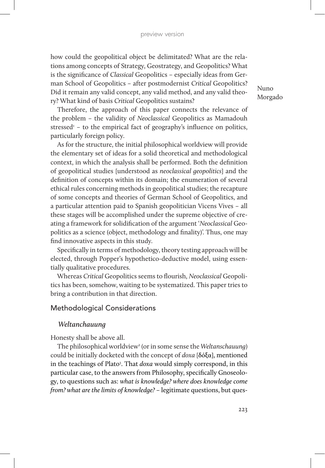how could the geopolitical object be delimitated? What are the relations among concepts of Strategy, Geostrategy, and Geopolitics? What is the significance of *Classical* Geopolitics – especially ideas from German School of Geopolitics – after postmodernist *Critical* Geopolitics? Did it remain any valid concept, any valid method, and any valid theory? What kind of basis *Critical* Geopolitics sustains?

Therefore, the approach of this paper connects the relevance of the problem – the validity of *Neoclassical* Geopolitics as Mamadouh stressed<sup>1</sup> - to the empirical fact of geography's influence on politics, particularly foreign policy.

As for the structure, the initial philosophical worldview will provide the elementary set of ideas for a solid theoretical and methodological context, in which the analysis shall be performed. Both the definition of geopolitical studies [understood as *neoclassical geopolitics*] and the definition of concepts within its domain; the enumeration of several ethical rules concerning methods in geopolitical studies; the recapture of some concepts and theories of German School of Geopolitics, and a particular attention paid to Spanish geopolitician Vicens Vives – all these stages will be accomplished under the supreme objective of creating a framework for solidification of the argument '*Neoclassical* Geopolitics as a science (object, methodology and finality)'. Thus, one may find innovative aspects in this study.

Specifically in terms of methodology, theory testing approach will be elected, through Popper's hypothetico-deductive model, using essentially qualitative procedures.

Whereas *Critical* Geopolitics seems to flourish, *Neoclassical* Geopolitics has been, somehow, waiting to be systematized. This paper tries to bring a contribution in that direction.

## Methodological Considerations

## *Weltanchauung*

Honesty shall be above all.

The philosophical worldview<sup>2</sup> (or in some sense the *Weltanschauung*) could be initially docketed with the concept of *doxa* [δόξα], mentioned in the teachings of Plato<sup>3</sup>. That *doxa* would simply correspond, in this particular case, to the answers from Philosophy, specifically Gnoseology, to questions such as: *what is knowledge? where does knowledge come from? what are the limits of knowledge?* – legitimate questions, but ques-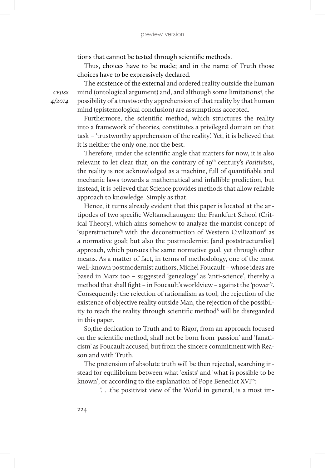tions that cannot be tested through scientific methods.

Thus, choices have to be made; and in the name of Truth those choices have to be expressively declared.

The existence of the external and ordered reality outside the human mind (ontological argument) and, and although some limitations<sup>4</sup>, the possibility of a trustworthy apprehension of that reality by that human mind (epistemological conclusion) are assumptions accepted.

Furthermore, the scientific method, which structures the reality into a framework of theories, constitutes a privileged domain on that task – 'trustworthy apprehension of the reality'. Yet, it is believed that it is neither the only one, nor the best.

Therefore, under the scientific angle that matters for now, it is also relevant to let clear that, on the contrary of 19<sup>th</sup> century's *Positivism*, the reality is not acknowledged as a machine, full of quantifiable and mechanic laws towards a mathematical and infallible prediction, but instead, it is believed that Science provides methods that allow reliable approach to knowledge. Simply as that.

Hence, it turns already evident that this paper is located at the antipodes of two specific Weltanschauugen: the Frankfurt School (Critical Theory), which aims somehow to analyze the marxist concept of 'superstructure'<sup>5</sup> with the deconstruction of Western Civilization<sup>6</sup> as a normative goal; but also the postmodernist [and poststructuralist] approach, which pursues the same normative goal, yet through other means. As a matter of fact, in terms of methodology, one of the most well-known postmodernist authors, Michel Foucault – whose ideas are based in Marx too – suggested 'genealogy' as 'anti-science', thereby a method that shall fight – in Foucault's worldview – against the 'power'7 . Consequently: the rejection of rationalism as tool, the rejection of the existence of objective reality outside Man, the rejection of the possibility to reach the reality through scientific method<sup>8</sup> will be disregarded in this paper.

So,the dedication to Truth and to Rigor, from an approach focused on the scientific method, shall not be born from 'passion' and 'fanaticism' as Foucault accused, but from the sincere commitment with Reason and with Truth.

The pretension of absolute truth will be then rejected, searching instead for equilibrium between what 'exists' and 'what is possible to be known', or according to the explanation of Pope Benedict XVI<sup>10</sup>:

'. . .the positivist view of the World in general, is a most im-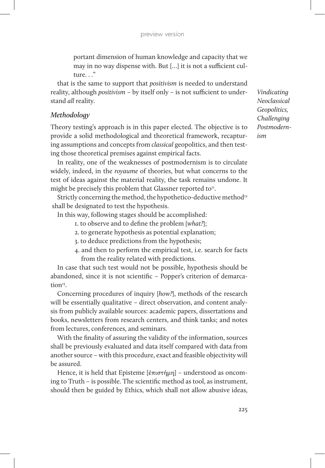portant dimension of human knowledge and capacity that we may in no way dispense with. But […] it is not a sufficient culture. . ."

that is the same to support that *positivism* is needed to understand reality, although *positivism* – by itself only – is not sufficient to understand *all* reality.

## *Methodology*

Theory testing's approach is in this paper elected. The objective is to provide a solid methodological and theoretical framework, recapturing assumptions and concepts from *classical* geopolitics, and then testing those theoretical premises against empirical facts.

In reality, one of the weaknesses of postmodernism is to circulate widely, indeed, in the *royaume* of theories, but what concerns to the test of ideas against the material reality, the task remains undone. It might be precisely this problem that Glassner reported to $I<sup>II</sup>$ .

Strictly concerning the method, the hypothetico-deductive method<sup>12</sup> shall be designated to test the hypothesis.

In this way, following stages should be accomplished:

- 1. to observe and to define the problem [*what?*];
- 2. to generate hypothesis as potential explanation;
- 3. to deduce predictions from the hypothesis;
- 4. and then to perform the empirical test, i.e. search for facts from the reality related with predictions.

In case that such test would not be possible, hypothesis should be abandoned, since it is not scientific – Popper's criterion of demarcation<sup>13</sup>

Concerning procedures of inquiry [*how?*], methods of the research will be essentially qualitative – direct observation, and content analysis from publicly available sources: academic papers, dissertations and books, newsletters from research centers, and think tanks; and notes from lectures, conferences, and seminars.

With the finality of assuring the validity of the information, sources shall be previously evaluated and data itself compared with data from another source – with this procedure, exact and feasible objectivity will be assured.

Hence, it is held that Episteme [ἐπιστήμη] – understood as oncoming to Truth – is possible. The scientific method as tool, as instrument, should then be guided by Ethics, which shall not allow abusive ideas,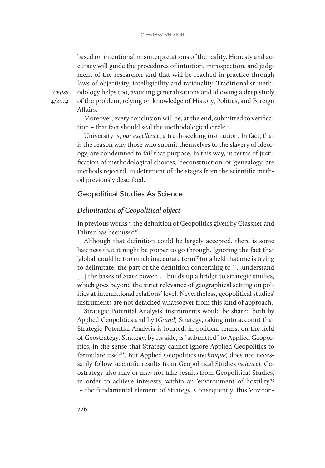based on intentional misinterpretations of the reality. Honesty and accuracy will guide the procedures of intuition, introspection, and judgment of the researcher and that will be reached in practice through laws of objectivity, intelligibility and rationality. Traditionalist methodology helps too, avoiding generalizations and allowing a deep study of the problem, relying on knowledge of History, Politics, and Foreign Affairs.

*cejiss 4/2014*

> Moreover, every conclusion will be, at the end, submitted to verification – that fact should seal the methodological circle<sup>14</sup>.

> University is, *par excellence*, a truth-seeking institution. In fact, that is the reason why those who submit themselves to the slavery of ideology, are condemned to fail that purpose. In this way, in terms of justification of methodological choices, 'deconstruction' or 'genealogy' are methods rejected, in detriment of the stages from the scientific method previously described.

## Geopolitical Studies As Science

## *Delimitation of Geopolitical object*

In previous works<sup>15</sup>, the definition of Geopolitics given by Glassner and Fahrer has beenused<sup>16</sup>.

Although that definition could be largely accepted, there is some haziness that it might be proper to go through. Ignoring the fact that 'global' could be too much inaccurate term<sup>17</sup> for a field that one is trying to delimitate, the part of the definition concerning to '. . .understand [...] the bases of State power. . .' builds up a bridge to strategic studies, which goes beyond the strict relevance of geographical setting on politics at international relations' level. Nevertheless, geopolitical studies' instruments are not detached whatsoever from this kind of approach.

Strategic Potential Analysis' instruments would be shared both by Applied Geopolitics and by (*Grand*) Strategy, taking into account that Strategic Potential Analysis is located, in political terms, on the field of Geostrategy. Strategy, by its side, is "submitted" to Applied Geopolitics, in the sense that Strategy cannot ignore Applied Geopolitics to formulate itself<sup>18</sup>. But Applied Geopolitics (technique) does not necessarily follow scientific results from Geopolitical Studies (*science*). Geostrategy also may or may not take results from Geopolitical Studies, in order to achieve interests, within an 'environment of hostility'19

– the fundamental element of Strategy. Consequently, this 'environ-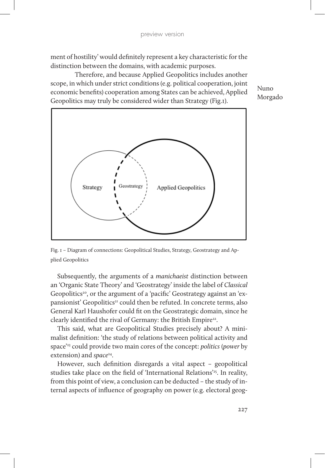ment of hostility' would definitely represent a key characteristic for the distinction between the domains, with academic purposes.

Therefore, and because Applied Geopolitics includes another scope, in which under strict conditions (e.g. political cooperation, joint economic benefits) cooperation among States can be achieved, Applied Geopolitics may truly be considered wider than Strategy (Fig.1).



Fig. 1 – Diagram of connections: Geopolitical Studies, Strategy, Geostrategy and Applied Geopolitics

Subsequently, the arguments of a *manichaeist* distinction between an 'Organic State Theory' and 'Geostrategy' inside the label of *Classical* Geopolitics<sup>20</sup>, or the argument of a 'pacific' Geostrategy against an 'expansionist' Geopolitics<sup>21</sup> could then be refuted. In concrete terms, also General Karl Haushofer could fit on the Geostrategic domain, since he clearly identified the rival of Germany: the British Empire<sup>22</sup>.

This said, what are Geopolitical Studies precisely about? A minimalist definition: 'the study of relations between political activity and space'23 could provide two main cores of the concept: *politics* (*power* by extension) and *space*<sup>24</sup>.

However, such definition disregards a vital aspect – geopolitical studies take place on the field of 'International Relations'<sup>25</sup>. In reality, from this point of view, a conclusion can be deducted – the study of internal aspects of influence of geography on power (e.g. electoral geog-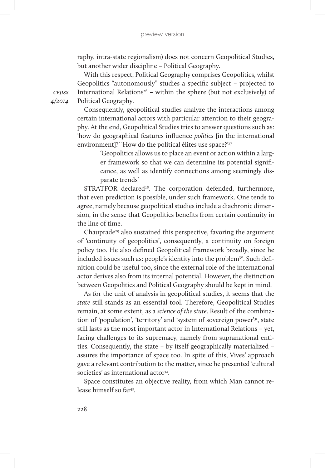raphy, intra-state regionalism) does not concern Geopolitical Studies, but another wider discipline – Political Geography.

With this respect, Political Geography comprises Geopolitics, whilst Geopolitics "autonomously" studies a specific subject – projected to International Relations<sup>26</sup> – within the sphere (but not exclusively) of Political Geography.

*cejiss 4/2014*

> Consequently, geopolitical studies analyze the interactions among certain international actors with particular attention to their geography. At the end, Geopolitical Studies tries to answer questions such as: 'how do geographical features influence *politics* [in the international environment]?' 'How do the political élites use space?'<sup>27</sup>

> > 'Geopolitics allows us to place an event or action within a larger framework so that we can determine its potential significance, as well as identify connections among seemingly disparate trends'

STRATFOR declared<sup>28</sup>. The corporation defended, furthermore, that even prediction is possible, under such framework. One tends to agree, namely because geopolitical studies include a diachronic dimension, in the sense that Geopolitics benefits from certain continuity in the line of time.

Chauprade<sup>29</sup> also sustained this perspective, favoring the argument of 'continuity of geopolitics', consequently, a continuity on foreign policy too. He also defined Geopolitical framework broadly, since he included issues such as: people's identity into the problem<sup>30</sup>. Such definition could be useful too, since the external role of the international actor derives also from its internal potential. However, the distinction between Geopolitics and Political Geography should be kept in mind.

As for the unit of analysis in geopolitical studies, it seems that the *state* still stands as an essential tool. Therefore, Geopolitical Studies remain, at some extent, as a *science of the state*. Result of the combination of 'population', 'territory' and 'system of sovereign power'31, state still lasts as the most important actor in International Relations – yet, facing challenges to its supremacy, namely from supranational entities. Consequently, the state – by itself geographically materialized – assures the importance of space too. In spite of this, Vives' approach gave a relevant contribution to the matter, since he presented 'cultural societies' as international actor<sup>32</sup>.

Space constitutes an objective reality*,* from which Man cannot release himself so far<sup>33</sup>.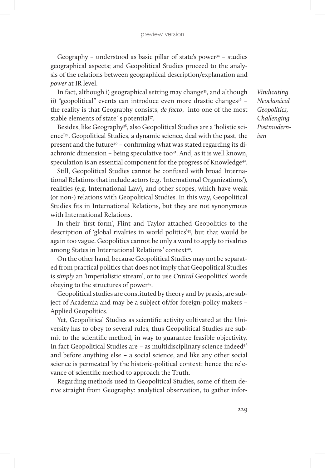#### preview version

Geography – understood as basic pillar of state's power<sup>34</sup> – studies geographical aspects; and Geopolitical Studies proceed to the analysis of the relations between geographical description/explanation and *power* at IR level.

In fact, although i) geographical setting may change<sup>35</sup>, and although ii) "geopolitical" events can introduce even more drastic changes<sup>36</sup> the reality is that Geography consists, *de facto*, into one of the most stable elements of state's potential<sup>37</sup>.

Besides, like Geography<sup>38</sup>, also Geopolitical Studies are a 'holistic science'39. Geopolitical Studies, a dynamic science, deal with the past, the present and the future<sup>40</sup> – confirming what was stated regarding its diachronic dimension – being speculative too $4$ <sup>1</sup>. And, as it is well known, speculation is an essential component for the progress of Knowledge<sup>42</sup>.

Still, Geopolitical Studies cannot be confused with broad International Relations that include actors (e.g. 'International Organizations'), realities (e.g. International Law), and other scopes, which have weak (or non-) relations with Geopolitical Studies. In this way, Geopolitical Studies fits in International Relations, but they are not synonymous with International Relations.

In their 'first form', Flint and Taylor attached Geopolitics to the description of 'global rivalries in world politics'43, but that would be again too vague. Geopolitics cannot be only a word to apply to rivalries among States in International Relations' context<sup>44</sup>.

On the other hand, because Geopolitical Studies may not be separated from practical politics that does not imply that Geopolitical Studies is *simply* an 'imperialistic stream', or to use *Critical* Geopolitics' words obeying to the structures of power<sup>45</sup>.

Geopolitical studies are constituted by theory and by praxis, are subject of Academia and may be a subject of/for foreign-policy makers – Applied Geopolitics.

Yet, Geopolitical Studies as scientific activity cultivated at the University has to obey to several rules, thus Geopolitical Studies are submit to the scientific method, in way to guarantee feasible objectivity. In fact Geopolitical Studies are - as multidisciplinary science indeed<sup>46</sup> and before anything else – a social science, and like any other social science is permeated by the historic-political context; hence the relevance of scientific method to approach the Truth.

Regarding methods used in Geopolitical Studies, some of them derive straight from Geography: analytical observation, to gather infor-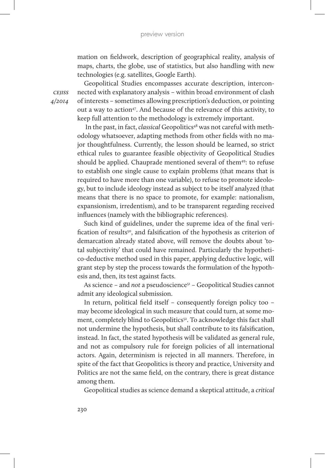mation on fieldwork, description of geographical reality, analysis of maps, charts, the globe, use of statistics, but also handling with new technologies (e.g. satellites, Google Earth).

Geopolitical Studies encompasses accurate description, interconnected with explanatory analysis – within broad environment of clash of interests – sometimes allowing prescription's deduction, or pointing out a way to action<sup>47</sup>. And because of the relevance of this activity, to keep full attention to the methodology is extremely important.

In the past, in fact, *classical* Geopolitics<sup>48</sup> was not careful with methodology whatsoever, adapting methods from other fields with no major thoughtfulness. Currently, the lesson should be learned, so strict ethical rules to guarantee feasible objectivity of Geopolitical Studies should be applied. Chauprade mentioned several of them<sup>49</sup>: to refuse to establish one single cause to explain problems (that means that is required to have more than one variable), to refuse to promote ideology, but to include ideology instead as subject to be itself analyzed (that means that there is no space to promote, for example: nationalism, expansionism, irredentism), and to be transparent regarding received influences (namely with the bibliographic references).

Such kind of guidelines, under the supreme idea of the final verification of results<sup>50</sup>, and falsification of the hypothesis as criterion of demarcation already stated above, will remove the doubts about 'total subjectivity' that could have remained. Particularly the hypothetico-deductive method used in this paper, applying deductive logic, will grant step by step the process towards the formulation of the hypothesis and, then, its test against facts.

As science – and *not* a pseudoscience<sup>51</sup> – Geopolitical Studies cannot admit any ideological submission.

In return, political field itself – consequently foreign policy too – may become ideological in such measure that could turn, at some moment, completely blind to Geopolitics<sup>52</sup>. To acknowledge this fact shall not undermine the hypothesis, but shall contribute to its falsification, instead. In fact, the stated hypothesis will be validated as general rule, and not as compulsory rule for foreign policies of all international actors. Again, determinism is rejected in all manners. Therefore, in spite of the fact that Geopolitics is theory and practice, University and Politics are not the same field, on the contrary, there is great distance among them.

Geopolitical studies as science demand a skeptical attitude, a *critical*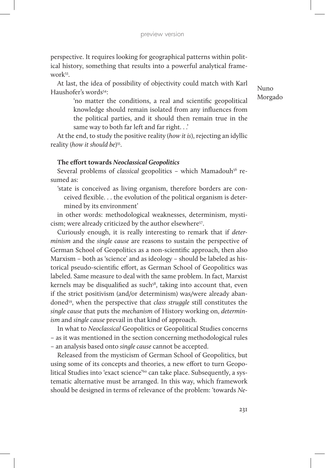perspective. It requires looking for geographical patterns within political history, something that results into a powerful analytical framework<sup>53</sup>.

At last, the idea of possibility of objectivity could match with Karl Haushofer's words<sup>54</sup>:

Nuno Morgado

'no matter the conditions, a real and scientific geopolitical knowledge should remain isolated from any influences from the political parties, and it should then remain true in the same way to both far left and far right. . .'

At the end, to study the positive reality (*how it is*), rejecting an idyllic reality (*how it should be*) 55.

### **The effort towards** *Neoclassical Geopolitics*

Several problems of *classical* geopolitics - which Mamadouh<sup>56</sup> resumed as:

'state is conceived as living organism, therefore borders are conceived flexible. . . the evolution of the political organism is determined by its environment'

in other words: methodological weaknesses, determinism, mysticism; were already criticized by the author elsewhere<sup>57</sup>.

Curiously enough, it is really interesting to remark that if *determinism* and the *single cause* are reasons to sustain the perspective of German School of Geopolitics as a non-scientific approach, then also Marxism – both as 'science' and as ideology – should be labeled as historical pseudo-scientific effort, as German School of Geopolitics was labeled. Same measure to deal with the same problem. In fact, Marxist kernels may be disqualified as such<sup>58</sup>, taking into account that, even if the strict positivism (and/or determinism) was/were already abandoned59, when the perspective that *class struggle* still constitutes the *single cause* that puts the *mechanism* of History working on, *determinism* and *single cause* prevail in that kind of approach.

In what to *Neoclassical* Geopolitics or Geopolitical Studies concerns – as it was mentioned in the section concerning methodological rules – an analysis based onto *single cause* cannot be accepted.

Released from the mysticism of German School of Geopolitics, but using some of its concepts and theories, a new effort to turn Geopolitical Studies into 'exact science'<sup>60</sup> can take place. Subsequently, a systematic alternative must be arranged. In this way, which framework should be designed in terms of relevance of the problem: 'towards *Ne-*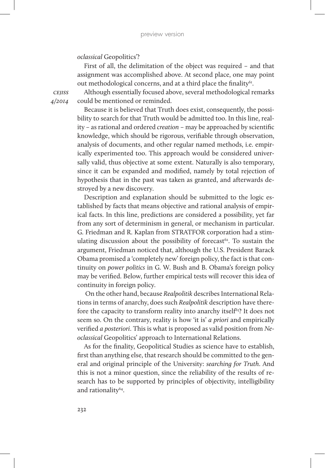## *oclassical* Geopolitics'?

First of all, the delimitation of the object was required – and that assignment was accomplished above. At second place, one may point out methodological concerns, and at a third place the finality<sup>61</sup>.

Although essentially focused above, several methodological remarks could be mentioned or reminded.

Because it is believed that Truth does exist, consequently, the possibility to search for that Truth would be admitted too. In this line, reality – as rational and ordered *creation* – may be approached by scientific knowledge, which should be rigorous, verifiable through observation, analysis of documents, and other regular named methods, i.e. empirically experimented too. This approach would be considered universally valid, thus objective at some extent. Naturally is also temporary, since it can be expanded and modified, namely by total rejection of hypothesis that in the past was taken as granted, and afterwards destroyed by a new discovery.

Description and explanation should be submitted to the logic established by facts that means objective and rational analysis of empirical facts. In this line, predictions are considered a possibility, yet far from any sort of determinism in general, or mechanism in particular. G. Friedman and R. Kaplan from STRATFOR corporation had a stimulating discussion about the possibility of forecast $62$ . To sustain the argument, Friedman noticed that, although the U.S. President Barack Obama promised a 'completely new' foreign policy, the fact is that continuity on *power politics* in G. W. Bush and B. Obama's foreign policy may be verified. Below, further empirical tests will recover this idea of continuity in foreign policy.

On the other hand, because *Realpolitik* describes International Relations in terms of anarchy, does such *Realpolitik* description have therefore the capacity to transform reality into anarchy itself<sup>63</sup>? It does not seem so. On the contrary, reality is how 'it is' *a priori* and empirically verified *a posteriori*. This is what is proposed as valid position from *Neoclassical* Geopolitics' approach to International Relations.

As for the finality, Geopolitical Studies as science have to establish, first than anything else, that research should be committed to the general and original principle of the University: *searching for Truth*. And this is not a minor question, since the reliability of the results of research has to be supported by principles of objectivity, intelligibility and rationality64.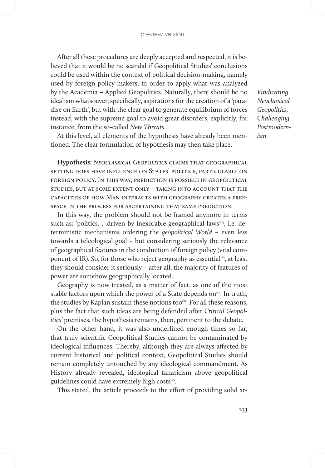After all these procedures are deeply accepted and respected, it is believed that it would be no scandal if Geopolitical Studies' conclusions could be used within the context of political decision-making, namely used by foreign policy makers, in order to apply what was analyzed by the Academia – Applied Geopolitics. Naturally, there should be no idealism whatsoever, specifically, aspirations for the creation of a 'paradise on Earth', but with the clear goal to generate equilibrium of forces instead, with the supreme goal to avoid great disorders, explicitly, for instance, from the so-called *New Threats*.

At this level, all elements of the hypothesis have already been mentioned. The clear formulation of hypothesis may then take place.

**Hypothesis:** *Neoclassical Geopolitics* claims that geographical setting does have influence on States' politics, particularly on foreign policy. In this way, prediction is possible in geopolitical studies, but at some extent only – taking into account that the capacities of how Man interacts with geography creates a freespace in the process for ascertaining that same prediction.

In this way, the problem should not be framed anymore in terms such as: 'politics. . .driven by inexorable geographical laws'<sup>65</sup>, i.e. deterministic mechanisms ordering the *geopolitical World* – even less towards a teleological goal – but considering seriously the relevance of geographical features in the conduction of foreign policy (vital component of IR). So, for those who reject geography as essential<sup>66</sup>, at least they should consider it seriously – after all, the majority of features of power are somehow geographically located.

Geography is now treated, as a matter of fact, as one of the most stable factors upon which the power of a State depends on<sup>67</sup>. In truth, the studies by Kaplan sustain these notions too<sup>68</sup>. For all these reasons, plus the fact that such ideas are being defended after *Critical Geopolitics'* premises, the hypothesis remains, then, pertinent to the debate.

On the other hand, it was also underlined enough times so far, that truly scientific Geopolitical Studies cannot be contaminated by ideological influences. Thereby, although they are always affected by current historical and political context, Geopolitical Studies should remain completely untouched by any ideological commandment. As History already revealed, ideological fanaticism above geopolitical guidelines could have extremely high costs<sup>69</sup>.

This stated, the article proceeds to the effort of providing solid ar-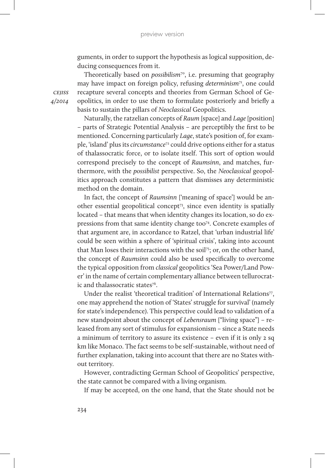guments, in order to support the hypothesis as logical supposition, deducing consequences from it.

Theoretically based on *possibilism*<sup>70</sup>, i.e. presuming that geography may have impact on foreign policy, refusing *determinism*71, one could recapture several concepts and theories from German School of Geopolitics, in order to use them to formulate posteriorly and briefly a basis to sustain the pillars of *Neoclassical* Geopolitics.

Naturally, the ratzelian concepts of *Raum* [space] and *Lage* [position] – parts of Strategic Potential Analysis – are perceptibly the first to be mentioned. Concerning particularly *Lage*, state's position of, for example, 'island' plus its *circumstance*<sup>72</sup> could drive options either for a status of thalassocratic force, or to isolate itself. This sort of option would correspond precisely to the concept of *Raumsinn*, and matches, furthermore, with the *possibilist* perspective. So, the *Neoclassical* geopolitics approach constitutes a pattern that dismisses any deterministic method on the domain.

In fact, the concept of *Raumsinn* ['meaning of space'] would be another essential geopolitical concept73, since even identity is spatially located – that means that when identity changes its location, so do expressions from that same identity change too<sup>74</sup>. Concrete examples of that argument are, in accordance to Ratzel, that 'urban industrial life' could be seen within a sphere of 'spiritual crisis', taking into account that Man loses their interactions with the soil<sup>75</sup>; or, on the other hand, the concept of *Raumsinn* could also be used specifically to overcome the typical opposition from *classical* geopolitics 'Sea Power/Land Power' in the name of certain complementary alliance between tellurocratic and thalassocratic states76.

Under the realist 'theoretical tradition' of International Relations<sup>77</sup>, one may apprehend the notion of 'States' struggle for survival' (namely for state's independence). This perspective could lead to validation of a new standpoint about the concept of *Lebensraum* ["living space"] – released from any sort of stimulus for expansionism – since a State needs a minimum of territory to assure its existence – even if it is only 2 sq km like Monaco. The fact seems to be self-sustainable, without need of further explanation, taking into account that there are no States without territory.

However, contradicting German School of Geopolitics' perspective, the state cannot be compared with a living organism.

If may be accepted, on the one hand, that the State should not be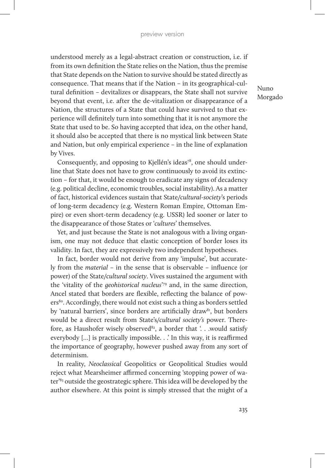understood merely as a legal-abstract creation or construction, i.e. if from its own definition the State relies on the Nation, thus the premise that State depends on the Nation to survive should be stated directly as consequence. That means that if the Nation – in its geographical-cultural definition – devitalizes or disappears, the State shall not survive beyond that event, i.e. after the de-vitalization or disappearance of a Nation, the structures of a State that could have survived to that experience will definitely turn into something that it is not anymore the State that used to be. So having accepted that idea, on the other hand, it should also be accepted that there is no mystical link between State and Nation, but only empirical experience – in the line of explanation by Vives.

Consequently, and opposing to Kjellén's ideas<sup>78</sup>, one should underline that State does not have to grow continuously to avoid its extinction – for that, it would be enough to eradicate any signs of decadency (e.g. political decline, economic troubles, social instability). As a matter of fact, historical evidences sustain that State/*cultural-society*'s periods of long-term decadency (e.g. Western Roman Empire, Ottoman Empire) or even short-term decadency (e.g. USSR) led sooner or later to the disappearance of those States or '*cultures*' themselves.

Yet, and just because the State is not analogous with a living organism, one may not deduce that elastic conception of border loses its validity. In fact, they are expressively two independent hypotheses.

In fact, border would not derive from any 'impulse', but accurately from the *material* – in the sense that is observable – influence (or power) of the State/*cultural society*. Vives sustained the argument with the 'vitality of the *geohistorical nucleus*' 79 and, in the same direction, Ancel stated that borders are flexible, reflecting the balance of powers<sup>80</sup>. Accordingly, there would not exist such a thing as borders settled by 'natural barriers', since borders are artificially draw<sup>81</sup>, but borders would be a direct result from State's/*cultural society's* power. Therefore, as Haushofer wisely observed<sup>82</sup>, a border that  $\therefore$  would satisfy everybody […] is practically impossible. . .' In this way, it is reaffirmed the importance of geography, however pushed away from any sort of determinism.

In reality, *Neoclassical* Geopolitics or Geopolitical Studies would reject what Mearsheimer affirmed concerning 'stopping power of water'83 outside the geostrategic sphere. This idea will be developed by the author elsewhere. At this point is simply stressed that the might of a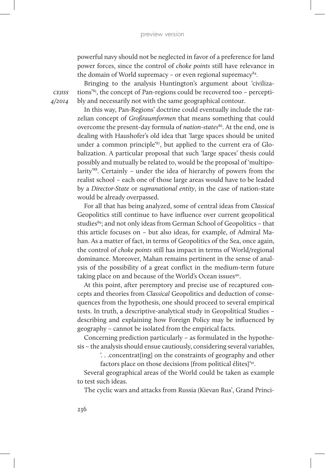powerful navy should not be neglected in favor of a preference for land power forces, since the control of *choke points* still have relevance in the domain of World supremacy – or even regional supremacy $84$ .

Bringing to the analysis Huntington's argument about 'civilizations'85, the concept of Pan-regions could be recovered too – perceptibly and necessarily not with the same geographical contour.

In this way, Pan-Regions' doctrine could eventually include the ratzelian concept of *Großraumformen* that means something that could overcome the present-day formula of *nation-states*<sup>86</sup>. At the end, one is dealing with Haushofer's old idea that 'large spaces should be united under a common principle'87, but applied to the current era of Globalization. A particular proposal that such 'large spaces' thesis could possibly and mutually be related to, would be the proposal of 'multipolarity'88. Certainly – under the idea of hierarchy of powers from the realist school – each one of those large areas would have to be leaded by a *Director-State* or *supranational entity*, in the case of nation-state would be already overpassed.

For all that has being analyzed, some of central ideas from *Classical* Geopolitics still continue to have influence over current geopolitical studies<sup>89</sup>; and not only ideas from German School of Geopolitics - that this article focuses on – but also ideas, for example, of Admiral Mahan. As a matter of fact, in terms of Geopolitics of the Sea, once again, the control of *choke points* still has impact in terms of World/regional dominance. Moreover, Mahan remains pertinent in the sense of analysis of the possibility of a great conflict in the medium-term future taking place on and because of the World's Ocean issues<sup>90</sup>.

At this point, after peremptory and precise use of recaptured concepts and theories from *Classical* Geopolitics and deduction of consequences from the hypothesis, one should proceed to several empirical tests. In truth, a descriptive-analytical study in Geopolitical Studies – describing and explaining how Foreign Policy may be influenced by geography – cannot be isolated from the empirical facts.

Concerning prediction particularly – as formulated in the hypothesis – the analysis should ensue cautiously, considering several variables,

'. . .concentrat[ing] on the constraints of geography and other

factors place on those decisions [from political élites]'91.

Several geographical areas of the World could be taken as example to test such ideas.

The cyclic wars and attacks from Russia (Kievan Rus', Grand Princi-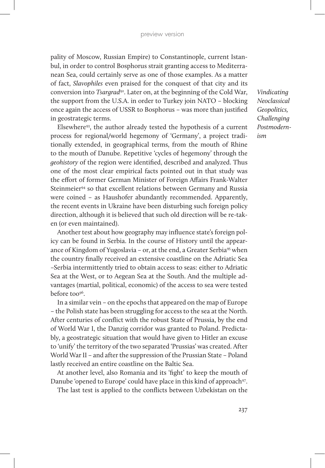pality of Moscow, Russian Empire) to Constantinople, current Istanbul, in order to control Bosphorus strait granting access to Mediterranean Sea, could certainly serve as one of those examples. As a matter of fact, *Slavophiles* even praised for the conquest of that city and its conversion into *Tsargrad*92. Later on, at the beginning of the Cold War, the support from the U.S.A. in order to Turkey join NATO – blocking once again the access of USSR to Bosphorus – was more than justified in geostrategic terms.

Elsewhere93, the author already tested the hypothesis of a current process for regional/world hegemony of 'Germany', a project traditionally extended, in geographical terms, from the mouth of Rhine to the mouth of Danube. Repetitive 'cycles of hegemony' through the *geohistory* of the region were identified, described and analyzed. Thus one of the most clear empirical facts pointed out in that study was the effort of former German Minister of Foreign Affairs Frank-Walter Steinmeier<sup>94</sup> so that excellent relations between Germany and Russia were coined – as Haushofer abundantly recommended. Apparently, the recent events in Ukraine have been disturbing such foreign policy direction, although it is believed that such old direction will be re-taken (or even maintained).

Another test about how geography may influence state's foreign policy can be found in Serbia. In the course of History until the appearance of Kingdom of Yugoslavia – or, at the end, a Greater Serbia<sup>95</sup> when the country finally received an extensive coastline on the Adriatic Sea –Serbia intermittently tried to obtain access to seas: either to Adriatic Sea at the West, or to Aegean Sea at the South. And the multiple advantages (martial, political, economic) of the access to sea were tested before too<sup>96</sup>.

In a similar vein – on the epochs that appeared on the map of Europe – the Polish state has been struggling for access to the sea at the North. After centuries of conflict with the robust State of Prussia, by the end of World War I, the Danzig corridor was granted to Poland. Predictably, a geostrategic situation that would have given to Hitler an excuse to 'unify' the territory of the two separated 'Prussias' was created. After World War II – and after the suppression of the Prussian State – Poland lastly received an entire coastline on the Baltic Sea.

At another level, also Romania and its 'fight' to keep the mouth of Danube 'opened to Europe' could have place in this kind of approach<sup>97</sup>.

The last test is applied to the conflicts between Uzbekistan on the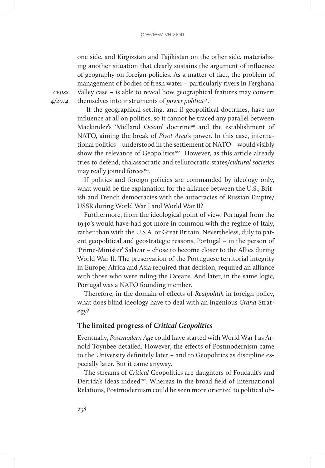one side, and Kirgizstan and Tajikistan on the other side, materializing another situation that clearly sustains the argument of influence of geography on foreign policies. As a matter of fact, the problem of management of bodies of fresh water – particularly rivers in Ferghana Valley case – is able to reveal how geographical features may convert themselves into instruments of *power politics*98.

*cejiss 4/2014*

> If the geographical setting, and if geopolitical doctrines, have no influence at all on politics, so it cannot be traced any parallel between Mackinder's 'Midland Ocean' doctrine<sup>99</sup> and the establishment of NATO, aiming the break of *Pivot Area*'s power. In this case, international politics – understood in the settlement of NATO – would visibly show the relevance of Geopolitics<sup>100</sup>. However, as this article already tries to defend, thalassocratic and tellurocratic states/*cultural societies* may really joined forces<sup>101</sup>.

> If politics and foreign policies are commanded by ideology only, what would be the explanation for the alliance between the U.S., British and French democracies with the autocracies of Russian Empire/ USSR during World War I and World War II?

> Furthermore, from the ideological point of view, Portugal from the 1940's would have had got more in common with the regime of Italy, rather than with the U.S.A. or Great Britain. Nevertheless, duly to patent geopolitical and geostrategic reasons, Portugal – in the person of 'Prime-Minister' Salazar – chose to become closer to the Allies during World War II. The preservation of the Portuguese territorial integrity in Europe, Africa and Asia required that decision, required an alliance with those who were ruling the Oceans. And later, in the same logic, Portugal was a NATO founding member.

> Therefore, in the domain of effects of *Realpolitik* in foreign policy, what does blind ideology have to deal with an ingenious *Grand* Strategy?

# **The limited progress of** *Critical Geopolitics*

Eventually, *Postmodern Age* could have started with World War I as Arnold Toynbee detailed. However, the effects of Postmodernism came to the University definitely later – and to Geopolitics as discipline especially later. But it came anyway.

The streams of *Critical* Geopolitics are daughters of Foucault's and Derrida's ideas indeed<sup>102</sup>. Whereas in the broad field of International Relations, Postmodernism could be seen more oriented to political ob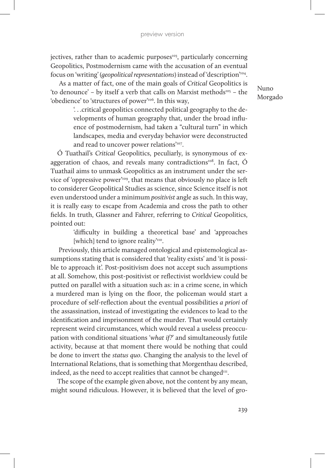jectives, rather than to academic purposes $103$ , particularly concerning Geopolitics, Postmodernism came with the accusation of an eventual focus on 'writing' (*geopolitical representations*) instead of 'description'104.

 As a matter of fact, one of the main goals of *Critical* Geopolitics is 'to denounce' – by itself a verb that calls on Marxist methods105 – the 'obedience' to 'structures of power'106. In this way,

'. . .critical geopolitics connected political geography to the developments of human geography that, under the broad influence of postmodernism, had taken a "cultural turn" in which landscapes, media and everyday behavior were deconstructed and read to uncover power relations'<sup>107</sup>.

Ó Tuathail's *Critical* Geopolitics, peculiarly, is synonymous of exaggeration of chaos, and reveals many contradictions $108$ . In fact,  $\acute{\text{O}}$ Tuathail aims to unmask Geopolitics as an instrument under the service of 'oppressive power'109, that means that obviously no place is left to considerer Geopolitical Studies as science, since Science itself is not even understood under a minimum *positivist* angle as such. In this way, it is really easy to escape from Academia and cross the path to other fields. In truth, Glassner and Fahrer, referring to *Critical* Geopolitics, pointed out:

> 'difficulty in building a theoretical base' and 'approaches [which] tend to ignore reality'<sup>110</sup>.

 Previously, this article managed ontological and epistemological assumptions stating that is considered that 'reality exists' and 'it is possible to approach it'. Post-positivism does not accept such assumptions at all. Somehow, this post-positivist or reflectivist worldview could be putted on parallel with a situation such as: in a crime scene, in which a murdered man is lying on the floor, the policeman would start a procedure of self-reflection about the eventual possibilities *a priori* of the assassination, instead of investigating the evidences to lead to the identification and imprisonment of the murder. That would certainly represent weird circumstances, which would reveal a useless preoccupation with conditional situations '*what if?*' and simultaneously futile activity, because at that moment there would be nothing that could be done to invert the *status quo*. Changing the analysis to the level of International Relations, that is something that Morgenthau described, indeed, as the need to accept realities that cannot be changed $m$ .

The scope of the example given above, not the content by any mean, might sound ridiculous. However, it is believed that the level of gro-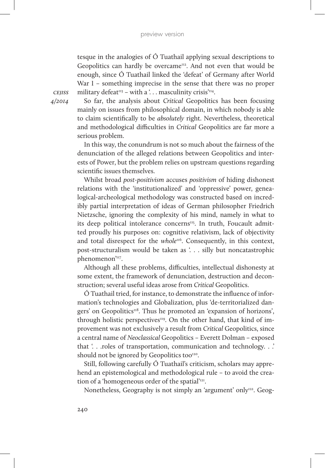tesque in the analogies of Ó Tuathail applying sexual descriptions to Geopolitics can hardly be overcame<sup>112</sup>. And not even that would be enough, since Ó Tuathail linked the 'defeat' of Germany after World War I – something imprecise in the sense that there was no proper military defeat<sup>113</sup> – with a '... masculinity crisis<sup>'114</sup>.

*cejiss 4/2014*

So far, the analysis about *Critical* Geopolitics has been focusing mainly on issues from philosophical domain, in which nobody is able to claim scientifically to be *absolutely* right. Nevertheless, theoretical and methodological difficulties in *Critical* Geopolitics are far more a serious problem.

In this way, the conundrum is not so much about the fairness of the denunciation of the alleged relations between Geopolitics and interests of Power, but the problem relies on upstream questions regarding scientific issues themselves.

Whilst broad *post-positivism* accuses *positivism* of hiding dishonest relations with the 'institutionalized' and 'oppressive' power, genealogical-archeological methodology was constructed based on incredibly partial interpretation of ideas of German philosopher Friedrich Nietzsche, ignoring the complexity of his mind, namely in what to its deep political intolerance concerns<sup>115</sup>. In truth, Foucault admitted proudly his purposes on: cognitive relativism, lack of objectivity and total disrespect for the *whole*<sup>116</sup>. Consequently, in this context, post-structuralism would be taken as '. . . silly but noncatastrophic phenomenon'<sup>117</sup>.

Although all these problems, difficulties, intellectual dishonesty at some extent, the framework of denunciation, destruction and deconstruction; several useful ideas arose from *Critical* Geopolitics.

Ó Tuathail tried, for instance, to demonstrate the influence of information's technologies and Globalization, plus 'de-territorialized dangers' on Geopolitics<sup>118</sup>. Thus he promoted an 'expansion of horizons', through holistic perspectives<sup>119</sup>. On the other hand, that kind of improvement was not exclusively a result from *Critical* Geopolitics, since a central name of *Neoclassical* Geopolitics – Everett Dolman – exposed that '. . .roles of transportation, communication and technology. . .' should not be ignored by Geopolitics too<sup>120</sup>.

Still, following carefully Ó Tuathail's criticism, scholars may apprehend an epistemological and methodological rule – to avoid the creation of a 'homogeneous order of the spatial'<sup>121</sup>.

Nonetheless, Geography is not simply an 'argument' only<sup>122</sup>. Geog-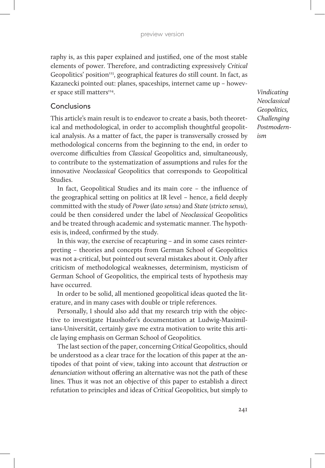raphy is, as this paper explained and justified, one of the most stable elements of power. Therefore, and contradicting expressively *Critical* Geopolitics' position<sup>123</sup>, geographical features do still count. In fact, as Kazanecki pointed out: planes, spaceships, internet came up – however space still matters<sup>124</sup>.

## Conclusions

This article's main result is to endeavor to create a basis, both theoretical and methodological, in order to accomplish thoughtful geopolitical analysis. As a matter of fact, the paper is transversally crossed by methodological concerns from the beginning to the end, in order to overcome difficulties from *Classical* Geopolitics and, simultaneously, to contribute to the systematization of assumptions and rules for the innovative *Neoclassical* Geopolitics that corresponds to Geopolitical Studies.

In fact, Geopolitical Studies and its main core – the influence of the geographical setting on politics at IR level – hence, a field deeply committed with the study of *Power* (*lato sensu*) and *State* (*stricto sensu*), could be then considered under the label of *Neoclassical* Geopolitics and be treated through academic and systematic manner. The hypothesis is, indeed, confirmed by the study.

In this way, the exercise of recapturing – and in some cases reinterpreting – theories and concepts from German School of Geopolitics was not a-critical, but pointed out several mistakes about it. Only after criticism of methodological weaknesses, determinism, mysticism of German School of Geopolitics, the empirical tests of hypothesis may have occurred.

In order to be solid, all mentioned geopolitical ideas quoted the literature, and in many cases with double or triple references.

Personally, I should also add that my research trip with the objective to investigate Haushofer's documentation at Ludwig-Maximilians-Universität, certainly gave me extra motivation to write this article laying emphasis on German School of Geopolitics.

The last section of the paper, concerning *Critical* Geopolitics, should be understood as a clear trace for the location of this paper at the antipodes of that point of view, taking into account that *destruction* or *denunciation* without offering an alternative was not the path of these lines. Thus it was not an objective of this paper to establish a direct refutation to principles and ideas of *Critical* Geopolitics, but simply to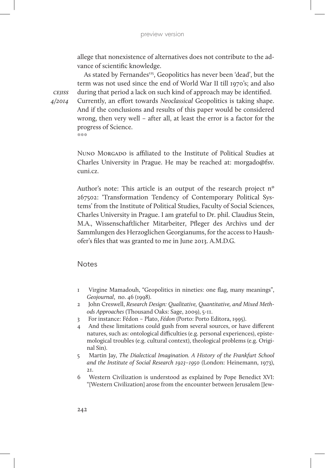allege that nonexistence of alternatives does not contribute to the advance of scientific knowledge.

As stated by Fernandes<sup>125</sup>, Geopolitics has never been 'dead', but the term was not used since the end of World War II till 1970's; and also during that period a lack on such kind of approach may be identified.

*cejiss 4/2014*

Currently, an effort towards *Neoclassical* Geopolitics is taking shape. And if the conclusions and results of this paper would be considered wrong, then very well – after all, at least the error is a factor for the progress of Science.  $*$ 

NUNO MORGADO is affiliated to the Institute of Political Studies at Charles University in Prague. He may be reached at: morgado@fsv. cuni.cz.

Author's note: This article is an output of the research project nº 267502: 'Transformation Tendency of Contemporary Political Systems' from the Institute of Political Studies, Faculty of Social Sciences, Charles University in Prague. I am grateful to Dr. phil. Claudius Stein, M.A., Wissenschaftlicher Mitarbeiter, Pfleger des Archivs und der Sammlungen des Herzoglichen Georgianums, for the access to Haushofer's files that was granted to me in June 2013. A.M.D.G.

## **Notes**

- 1 Virgine Mamadouh, "Geopolitics in nineties: one flag, many meanings", *Geojournal*, no. 46 (1998).
- 2 John Creswell, *Research Design: Qualitative, Quantitative, and Mixed Methods Approaches* (Thousand Oaks: Sage, 2009), 5-11.
- 3 For instance: Fédon Plato, *Fédon* (Porto: Porto Editora, 1995).
- 4 And these limitations could gush from several sources, or have different natures, such as: ontological difficulties (e.g. personal experiences), epistemological troubles (e.g. cultural context), theological problems (e.g. Original Sin).
- 5 Martin Jay, *The Dialectical Imagination. A History of the Frankfurt School and the Institute of Social Research 1923–1950* (London: Heinemann, 1973), 21.
- 6 Western Civilization is understood as explained by Pope Benedict XVI: "[Western Civilization] arose from the encounter between Jerusalem [Jew-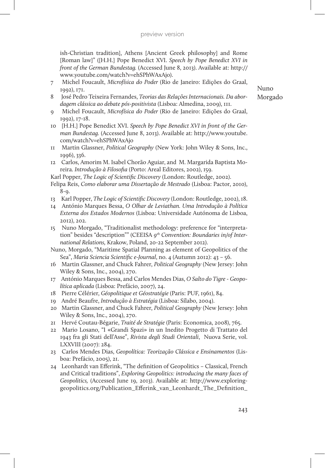ish-Christian tradition], Athens [Ancient Greek philosophy] and Rome [Roman law]" ([H.H.] Pope Benedict XVI. *Speech by Pope Benedict XVI in front of the German Bundestag.* (Accessed June 8, 2013). Available at: http:// www.youtube.com/watch?v=ehSPhWAxAjo).

- 7 Michel Foucault, *Microfísica do Poder* (Rio de Janeiro: Edições do Graal, 1992), 171.
- 8 José Pedro Teixeira Fernandes, *Teorias das Relações Internacionais. Da abordagem clássica ao debate pós-positivista* (Lisboa: Almedina, 2009), 111.
- 9 Michel Foucault, *Microfísica do Poder* (Rio de Janeiro: Edições do Graal, 1992), 17-18.
- 10 [H.H.] Pope Benedict XVI. *Speech by Pope Benedict XVI in front of the German Bundestag.* (Accessed June 8, 2013). Available at: http://www.youtube. com/watch?v=ehSPhWAxAjo
- 11 Martin Glassner, *Political Geography* (New York: John Wiley & Sons, Inc., 1996), 336.
- 12 Carlos, Amorim M. Isabel Chorão Aguiar, and M. Margarida Baptista Moreira. *Introdução à Filosofia* (Porto: Areal Editores, 2002), 159.

Karl Popper, *The Logic of Scientific Discovery* (London: Routledge, 2002).

- Felipa Reis, *Como elaborar uma Dissertação de Mestrado* (Lisboa: Pactor, 2010), 8-9.
- 13 Karl Popper, *The Logic of Scientific Discovery* (London: Routledge, 2002), 18.
- 14 António Marques Bessa, *O Olhar de Leviathan. Uma Introdução à Política Externa dos Estados Modernos* (Lisboa: Universidade Autónoma de Lisboa, 2012), 202.
- 15 Nuno Morgado, "Traditionalist methodology: preference for "interpretation" besides "description"" (CEEISA *9th Convention: Boundaries in/of International Relations,* Krakow, Poland, 20-22 September 2012).
- Nuno, Morgado, "Maritime Spatial Planning as element of Geopolitics of the Sea", *Maria Sciencia Scientific e-Journal*, no. 4 (Autumn 2012): 43 – 56.
- 16 Martin Glassner, and Chuck Fahrer, *Political Geography* (New Jersey: John Wiley & Sons, Inc., 2004), 270.
- 17 António Marques Bessa, and Carlos Mendes Dias, *O Salto do Tigre Geopolítica aplicada* (Lisboa: Prefácio, 2007), 24.
- 18 Pierre Célérier, *Géopolitique et Géostratégie* (Paris: PUF, 1961), 84.
- 19 André Beaufre, *Introdução à Estratégia* (Lisboa: Sílabo, 2004).
- 20 Martin Glassner, and Chuck Fahrer, *Political Geography* (New Jersey: John Wiley & Sons, Inc., 2004), 270.
- 21 Hervé Coutau-Bégarie, *Traité de Stratégie* (Paris: Economica, 2008), 765.
- 22 Mario Losano, "I «Grandi Spazi» in un Inedito Progetto di Trattato del 1943 fra gli Stati dell'Asse", *Rivista degli Studi Orientali*, Nuova Serie, vol. LXXVIII (2007): 284.
- 23 Carlos Mendes Dias, *Geopolítica: Teorização Clássica e Ensinamentos* (Lisboa: Prefácio, 2005), 21.
- 24 Leonhardt van Efferink, "The definition of Geopolitics Classical, French and Critical traditions", *Exploring Geopolitics: introducing the many faces of Geopolitics,* (Accessed June 19, 2013). Available at: http://www.exploringgeopolitics.org/Publication\_Efferink\_van\_Leonhardt\_The\_Definition\_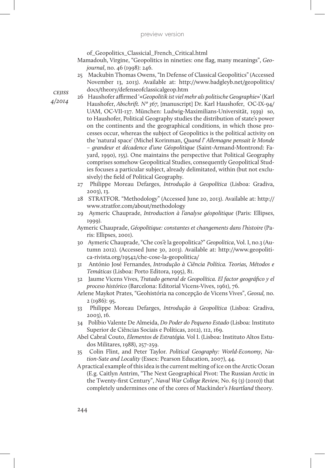of\_Geopolitics\_Classicial\_French\_Critical.html

- Mamadouh, Virgine, "Geopolitics in nineties: one flag, many meanings", *Geojournal*, no. 46 (1998): 246.
- 25 Mackubin Thomas Owens, "In Defense of Classical Geopolitics" (Accessed November 13, 2013). Available at: http://www.badgleyb.net/geopolitics/ docs/theory/defenseofclassicalgeop.htm

- 26 Haushofer affirmed '«*Geopolitik ist viel mehr als politische Geographie*»' (Karl Haushofer, *Abschrift. Nº 367,* [manuscript] Dr. Karl Haushofer, OC-IX-94/ UAM, OC-VII-137. München: Ludwig-Maximilians-Universität, 1939) so, to Haushofer, Political Geography studies the distribution of state's power on the continents and the geographical conditions, in which those processes occur, whereas the subject of Geopolitics is the political activity on the 'natural space' (Michel Korinman, *Quand l' Allemagne pensait le Monde – grandeur et décadence d'une Géopolitique* (Saint-Armand-Montrond: Fayard, 1990), 155). One maintains the perspective that Political Geography comprises somehow Geopolitical Studies, consequently Geopolitical Studies focuses a particular subject, already delimitated, within (but not exclusively) the field of Political Geography.
- 27 Philippe Moreau Defarges, *Introdução à Geopolítica* (Lisboa: Gradiva, 2003), 13.
- 28 STRATFOR. "Methodology" (Accessed June 20, 2013). Available at: http:// www.stratfor.com/about/methodology
- 29 Aymeric Chauprade, *Introduction à l'analyse géopolitique* (Paris: Ellipses, 1999).
- Aymeric Chauprade, *Géopolitique: constantes et changements dans l'histoire* (Paris: Ellipses, 2001).
- 30 Aymeric Chauprade, "Che cos'è la geopolitica?" *Geopolitica*, Vol. I, no.3 (Autumn 2012). (Accessed June 30, 2013). Available at: http://www.geopolitica-rivista.org/19542/che-cose-la-geopolitica/
- 31 António José Fernandes, *Introdução à Ciência Política. Teorias, Métodos e Temáticas* (Lisboa: Porto Editora, 1995), 81.
- 32 Jaume Vicens Vives, *Tratado general de Geopolítica. El factor geográfico y el proceso histórico* (Barcelona: Editorial Vicens-Vives, 1961), 76.
- Arlene Maykot Prates, "Geohistória na concepção de Vicens Vives", *Geosul,* no. 2 (1986): 95.
- 33 Philippe Moreau Defarges, *Introdução à Geopolítica* (Lisboa: Gradiva, 2003), 16.
- 34 Políbio Valente De Almeida, *Do Poder do Pequeno Estado* (Lisboa: Instituto Superior de Ciências Sociais e Políticas, 2012), 112, 169.
- Abel Cabral Couto, *Elementos de Estratégia.* Vol I. (Lisboa: Instituto Altos Estudos Militares, 1988), 257-259.
- 35 Colin Flint, and Peter Taylor. *Political Geography: World-Economy, Nation-Sate and Locality* (Essex: Pearson Education, 2007), 44.
- A practical example of this idea is the current melting of ice on the Arctic Ocean (E.g. Caitlyn Antrim, "The Next Geographical Pivot: The Russian Arctic in the Twenty-first Century", *Naval War College Review,* No. 63 (3) (2010)) that completely undermines one of the cores of Mackinder's *Heartland* theory.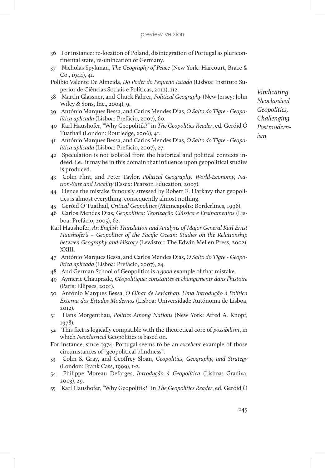- 36 For instance: re-location of Poland, disintegration of Portugal as pluricontinental state, re-unification of Germany.
- 37 Nicholas Spykman, *The Geography of Peace* (New York: Harcourt, Brace & Co., 1944), 41.
- Políbio Valente De Almeida, *Do Poder do Pequeno Estado* (Lisboa: Instituto Superior de Ciências Sociais e Políticas, 2012), 112.
- 38 Martin Glassner, and Chuck Fahrer, *Political Geography* (New Jersey: John Wiley & Sons, Inc., 2004), 9.
- 39 António Marques Bessa, and Carlos Mendes Dias, *O Salto do Tigre Geopolítica aplicada* (Lisboa: Prefácio, 2007), 60.
- 40 Karl Haushofer, "Why Geopolitik?" in *The Geopolitics Reader*, ed. Geróid Ó Tuathail (London: Routledge, 2006), 41.
- 41 António Marques Bessa, and Carlos Mendes Dias, *O Salto do Tigre Geopolítica aplicada* (Lisboa: Prefácio, 2007), 27.
- 42 Speculation is not isolated from the historical and political contexts indeed, i.e., it may be in this domain that influence upon geopolitical studies is produced.
- 43 Colin Flint, and Peter Taylor. *Political Geography: World-Economy, Nation-Sate and Locality* (Essex: Pearson Education, 2007).
- 44 Hence the mistake famously stressed by Robert E. Harkavy that geopolitics is almost everything, consequently almost nothing.
- 45 Geróid Ó Tuathail, *Critical Geopolitics* (Minneapolis: Borderlines, 1996).
- 46 Carlos Mendes Dias, *Geopolítica: Teorização Clássica e Ensinamentos* (Lisboa: Prefácio, 2005), 62.
- Karl Haushofer, *An English Translation and Analysis of Major General Karl Ernst Haushofer's – Geopolitics of the Pacific Ocean: Studies on the Relationship between Geography and History* (Lewistor: The Edwin Mellen Press, 2002), XXIII.
- 47 António Marques Bessa, and Carlos Mendes Dias, *O Salto do Tigre Geopolítica aplicada* (Lisboa: Prefácio, 2007), 24.
- 48 And German School of Geopolitics is a *good* example of that mistake.
- 49 Aymeric Chauprade, *Géopolitique: constantes et changements dans l'histoire* (Paris: Ellipses, 2001).
- 50 António Marques Bessa, *O Olhar de Leviathan. Uma Introdução à Política Externa dos Estados Modernos* (Lisboa: Universidade Autónoma de Lisboa, 2012).
- 51 Hans Morgenthau, *Politics Among Nations* (New York: Afred A. Knopf, 1978).
- 52 This fact is logically compatible with the theoretical core of *possibilism*, in which *Neoclassical* Geopolitics is based on.
- For instance, since 1974, Portugal seems to be an *excellent* example of those circumstances of "geopolitical blindness".
- 53 Colin S. Gray, and Geoffrey Sloan, *Geopolitics, Geography, and Strategy*  (London: Frank Cass, 1999), 1-2.
- 54 Philippe Moreau Defarges, *Introdução à Geopolítica* (Lisboa: Gradiva, 2003), 29.
- 55 Karl Haushofer, "Why Geopolitik?" in *The Geopolitics Reader*, ed. Geróid Ó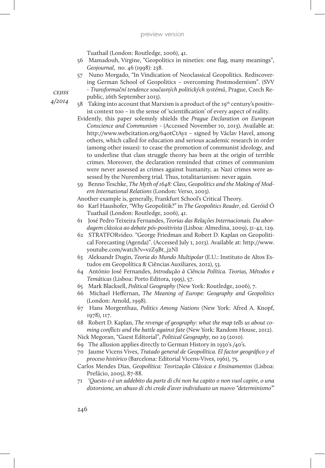Tuathail (London: Routledge, 2006), 41.

- 56 Mamadouh, Virgine, "Geopolitics in nineties: one flag, many meanings", *Geojournal*, no. 46 (1998): 238.
- 57 Nuno Morgado, "In Vindication of Neoclassical Geopolitics. Rediscovering German School of Geopolitics – overcoming Postmodernism". (SVV - *Transformační tendence současných politických systémů*, Prague, Czech Republic, 26th September 2013).
- 58 Taking into account that Marxism is a product of the  $19<sup>th</sup>$  century's positivist context too – in the sense of 'scientification' of every aspect of reality.
	- Evidently, this paper solemnly shields the *Prague Declaration on European Conscience and Communism* - (Accessed November 10, 2013). Available at: http://www.webcitation.org/64otCtAyz – signed by Václav Havel, among others, which called for education and serious academic research in order (among other issues): to cease the promotion of communist ideology, and to underline that class struggle theory has been at the origin of terrible crimes. Moreover, the declaration reminded that crimes of communism were never assessed as crimes against humanity, as Nazi crimes were assessed by the Nuremberg trial. Thus, totalitarianism: never again.
	- 59 Benno Teschke, *The Myth of 1648: Class, Geopolitics and the Making of Modern International Relations* (London: Verso, 2003).

Another example is, generally, Frankfurt School's Critical Theory.

- 60 Karl Haushofer, "Why Geopolitik?" in *The Geopolitics Reader*, ed. Geróid Ó Tuathail (London: Routledge, 2006), 41.
- 61 José Pedro Teixeira Fernandes, *Teorias das Relações Internacionais. Da abordagem clássica ao debate pós-positivista* (Lisboa: Almedina, 2009), 31-42, 129.
- 62 STRATFORvideo. "George Friedman and Robert D. Kaplan on Geopolitical Forecasting (Agenda)". (Accessed July 1, 2013). Available at: http://www. youtube.com/watch?v=vzZ9Bt\_j2NI
- 63 Aleksandr Dugin, *Teoria do Mundo Multipolar* (E.U.: Instituto de Altos Estudos em Geopolítica & Ciências Auxiliares, 2012), 53.
- 64 António José Fernandes, *Introdução à Ciência Política. Teorias, Métodos e Temáticas* (Lisboa: Porto Editora, 1995), 57.
- 65 Mark Blacksell, *Political Geography* (New York: Routledge, 2006), 7.
- 66 Michael Heffernan, *The Meaning of Europe: Geography and Geopolitics*  (London: Arnold, 1998).
- 67 Hans Morgenthau, *Politics Among Nations* (New York: Afred A. Knopf, 1978), 117.
- 68 Robert D. Kaplan, *The revenge of geography: what the map tells us about coming conflicts and the battle against fate* (New York: Random House, 2012).
- Nick Megoran, "Guest Editorial", *Political Geography,* no 29 (2010).
- 69 The allusion applies directly to German History in 1930's /40's.
- 70 Jaume Vicens Vives, *Tratado general de Geopolítica. El factor geográfico y el proceso histórico* (Barcelona: Editorial Vicens-Vives, 1961), 75.
- Carlos Mendes Dias, *Geopolítica: Teorização Clássica e Ensinamentos* (Lisboa: Prefácio, 2005), 87-88.
- 71 '*Questo o è un addebito da parte di chi non ha capito o non vuol capire, o una distorsione, un abuso di chi crede d'aver individuato un nuovo "determinismo"*'

*cejiss*

*4/2014*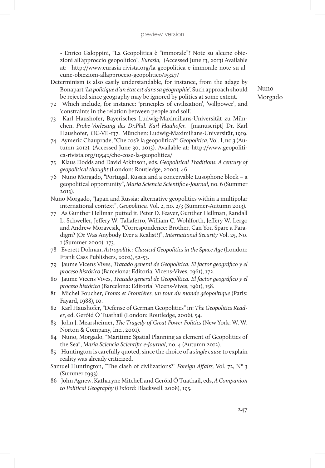- Enrico Galoppini, "La Geopolitica è "immorale"? Note su alcune obiezioni all'approccio geopolítico", *Eurasia,* (Accessed June 13, 2013) Available at: http://www.eurasia-rivista.org/la-geopolitica-e-immorale-note-su-alcune-obiezioni-allapproccio-geopolitico/15327/

- Determinism is also easily understandable, for instance, from the adage by Bonapart '*La politique d'un état est dans sa géographie*'. Such approach should be rejected since geography may be ignored by politics at some extent.
- 72 Which include, for instance: 'principles of civilization', 'willpower', and 'constraints in the relation between people and soil'.
- 73 Karl Haushofer, Bayerisches Ludwig-Maximilians-Universität zu München. *Probe-Vorlesung des Dr.Phil. Karl Hauhofer.* [manuscript] Dr. Karl Haushofer, OC-VII-137. München: Ludwig-Maximilians-Universität, 1919.
- 74 Aymeric Chauprade, "Che cos'è la geopolitica?" *Geopolitica*, Vol. I, no.3 (Autumn 2012). (Accessed June 30, 2013). Available at: http://www.geopolitica-rivista.org/19542/che-cose-la-geopolitica/
- 75 Klaus Dodds and David Atkinson, eds. *Geopolitical Traditions. A century of geopolitical thought* (London: Routledge, 2000), 46.
- 76 Nuno Morgado, "Portugal, Russia and a conceivable Lusophone block a geopolitical opportunity", *Maria Sciencia Scientific e-Journal,* no. 6 (Summer 2013).
- Nuno Morgado, "Japan and Russia: alternative geopolitics within a multipolar international context", *Geopolitica.* Vol. 2, no. 2/3 (Summer-Autumn 2013).
- 77 As Gunther Hellman putted it. Peter D. Feaver, Gunther Hellman, Randall L. Schweller, Jeffery W. Taliaferro, William C. Wohlforth, Jeffery W. Lergo and Andrew Moravcsik, "Correspondence: Brother, Can You Spare a Paradigm? (Or Was Anybody Ever a Realist?)", *International Security* Vol. 25, No. 1 (Summer 2000): 173.
- 78 Everett Dolman, *Astropolitic: Classical Geopolitics in the Space Age* (London: Frank Cass Publishers, 2002), 52-53.
- 79 Jaume Vicens Vives, *Tratado general de Geopolítica. El factor geográfico y el proceso histórico* (Barcelona: Editorial Vicens-Vives, 1961), 172.
- 80 Jaume Vicens Vives, *Tratado general de Geopolítica. El factor geográfico y el proceso histórico* (Barcelona: Editorial Vicens-Vives, 1961), 158.
- 81 Michel Foucher, *Fronts et Frontières, un tour du monde géopolitique* (Paris: Fayard, 1988), 10.
- 82 Karl Haushofer, "Defense of German Geopolitics" in: *The Geopolitics Reader*, ed. Geróid Ó Tuathail (London: Routledge, 2006), 54.
- 83 John J. Mearsheimer, *The Tragedy of Great Power Politics* (New York: W. W. Norton & Company, Inc., 2001).
- 84 Nuno, Morgado, "Maritime Spatial Planning as element of Geopolitics of the Sea", *Maria Sciencia Scientific e-Journal*, no. 4 (Autumn 2012).
- 85 Huntington is carefully quoted, since the choice of a *single cause* to explain reality was already criticized.
- Samuel Huntington, "The clash of civilizations?" *Foreign Affairs,* Vol. 72, Nº 3 (Summer 1993).
- 86 John Agnew, Katharyne Mitchell and Geróid Ó Tuathail, eds, *A Companion to Political Geography* (Oxford: Blackwell, 2008), 195.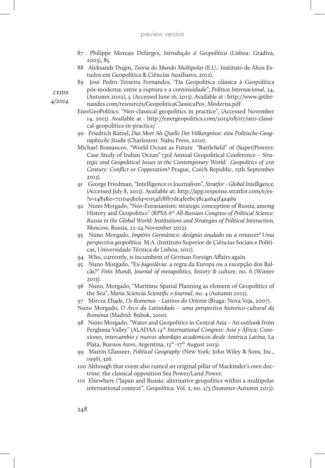- 87 Philippe Moreau Defarges, *Introdução à Geopolítica* (Lisboa: Gradiva, 2003), 85.
- 88 Aleksandr Dugin, *Teoria do Mundo Multipolar* (E.U.: Instituto de Altos Estudos em Geopolítica & Ciências Auxiliares, 2012).
- 89 José Pedro Teixeira Fernandes, "Da Geopolítica clássica à Geopolítica pós-moderna: entre a ruptura e a continuidade", *Política Internacional*, 24,

(Autumn 2002), 3. (Accessed June 16, 2013). Available at : http://www.jptfernandes.com/resources/GeopoliticaClassicaPos\_Moderna.pdf

- EnerGeoPolitics, "Neo-classical geopolitics in practice", (Accessed November 14, 2013). Available at : http://energeopolitics.com/2013/08/07/neo-classical-geopolitics-in-practice/
- 90 Friedrich Ratzel, *Das Meer Als Quelle Der Völkergrösse: eine Politische-Geographische Studie* (Charleston: Nabu Press, 2010).
- Michael Romancov, "World Ocean as Future "Battlefield" of (Super)Powers: Case Study of Indian Ocean" (3rd Annual Geopolitical Conference – *Strategic and Geopolitical Issues in the Contemporary World: Geopolitics of 21st Century: Conflict or Copperation?* Prague, Czech Republic, 15th September 2013).
- 91 George Friedman, "Intelligence *vs* Journalism", *Stratfor Global Intelligence,*  (Accessed July 8, 2013). Available at: http://app.response.stratfor.com/e/es- ?s=1483&e=711045&elq=e054f18f67de4feebc38c4a643f4a4d9
- 92 Nuno Morgado, "Neo-Eurasianism: strategic conception of Russia, among History and Geopolitics" (RPSA *6th All-Russian Congress of Political Science: Russia in the Global World: Institutions and Strategies of Political Interaction,*  Moscow, Russia, 22-24 November 2012).
- 93 Nuno Morgado, *Império Germânico: desígnio anulado ou a renascer? Uma perspectiva geopolítica*. M.A. (Instituto Superior de Ciências Sociais e Políticas, Universidade Técnica de Lisboa, 2011).
- 94 Who, currently, is incumbent of German Foreign Affairs again.
- 95 Nuno Morgado, "Ex-*Jugoslávia*: a regra da Europa ou a excepção dos Balcãs?" *Finis Mundi, Journal of metapolitics, history & culture*, no. 6 (Winter 2013).
- 96 Nuno, Morgado, "Maritime Spatial Planning as element of Geopolitics of the Sea", *Maria Sciencia Scientific e-Journal*, no. 4 (Autumn 2012).

97 Mircea Eliade, *Os Romenos – Latinos do Oriente* (Braga: Nova Veja, 2007).

- Nuno Morgado, *O Arco da Latinidade uma perspectiva historico-cultural da Roménia* (Madrid: Bubok, 2010).
- 98 Nuno Morgado, "Water and Geopolitics in Central Asia An outlook from Ferghana Valley" (ALADAA 14<sup>th</sup> International Congress: Asia y África; Cone*xiones, intercambio y nuevos abordajes académicos desde América Latina,* La Plata, Buenos Aires, Argentina, 13<sup>th</sup> -17<sup>th</sup> August 2013).
- 99 Martin Glassner, *Political Geography* (New York: John Wiley & Sons, Inc., 1996), 326.
- 100 Although that event also ruined an original pillar of Mackinder's own doctrine: the classical opposition Sea Power/Land Power.
- 101 Elsewhere ("Japan and Russia: alternative geopolitics within a multipolar international context", *Geopolitica.* Vol. 2, no. 2/3 (Summer-Autumn 2013):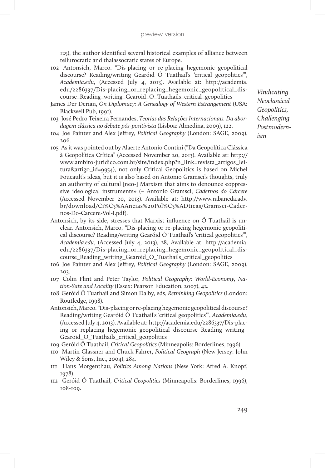125), the author identified several historical examples of alliance between tellurocratic and thalassocratic states of Europe.

- 102 Antonsich, Marco. "Dis-placing or re-placing hegemonic geopolitical discourse? Reading/writing Gearóid Ó Tuathail's 'critical geopolitics'", *Academia.edu*, (Accessed July 4, 2013). Available at: http://academia. edu/2286337/Dis-placing or replacing hegemonic geopolitical discourse\_Reading\_writing\_Gearoid\_O\_Tuathails\_critical\_geopolitics
- James Der Derian, *On Diplomacy: A Genealogy of Western Estrangement* (USA: Blackwell Pub, 1991).
- 103 José Pedro Teixeira Fernandes, *Teorias das Relações Internacionais. Da abordagem clássica ao debate pós-positivista* (Lisboa: Almedina, 2009), 122.
- 104 Joe Painter and Alex Jeffrey, *Political Geography* (London: SAGE, 2009), 206.
- 105 As it was pointed out by Alaerte Antonio Contini ("Da Geopolítica Clássica à Geopolítica Crítica" (Accessed November 20, 2013). Available at: http:// www.ambito-juridico.com.br/site/index.php?n\_link=revista\_artigos\_leitura&artigo\_id=9954), not only Critical Geopolitics is based on Michel Foucault's ideas, but it is also based on Antonio Gramsci's thoughts, truly an authority of cultural [neo-] Marxism that aims to denounce «oppressive ideological instruments» (– Antonio Gramsci, *Cadernos do Cárcere* (Accessed November 20, 2013). Available at: http://www.rabaneda.adv. br/download/Ci%C3%AAncias%20Pol%C3%ADticas/Gramsci-Cadernos-Do-Carcere-Vol-I.pdf).
- Antonsich, by its side, stresses that Marxist influence on Ó Tuathail is unclear. Antonsich, Marco, "Dis-placing or re-placing hegemonic geopolitical discourse? Reading/writing Gearóid Ó Tuathail's 'critical geopolitics'", *Academia.edu*, (Accessed July 4, 2013), 28, Available at: http://academia. edu/2286337/Dis-placing\_or\_replacing\_hegemonic\_geopolitical\_discourse Reading writing Gearoid O Tuathails critical geopolitics
- 106 Joe Painter and Alex Jeffrey, *Political Geography* (London: SAGE, 2009), 203.
- 107 Colin Flint and Peter Taylor, *Political Geography: World-Economy, Nation-Sate and Locality* (Essex: Pearson Education, 2007), 42.
- 108 Geróid Ó Tuathail and Simon Dalby, eds, *Rethinking Geopolitics* (London: Routledge, 1998).
- Antonsich, Marco. "Dis-placing or re-placing hegemonic geopolitical discourse? Reading/writing Gearóid Ó Tuathail's 'critical geopolitics'", *Academia.edu*, (Accessed July 4, 2013). Available at: http://academia.edu/2286337/Dis-placing\_or\_replacing\_hegemonic\_geopolitical\_discourse\_Reading\_writing\_ Gearoid\_O\_Tuathails\_critical\_geopolitics
- 109 Geróid Ó Tuathail, *Critical Geopolitics* (Minneapolis: Borderlines, 1996).
- 110 Martin Glassner and Chuck Fahrer, *Political Geograph* (New Jersey: John Wiley & Sons, Inc., 2004), 284.
- 111 Hans Morgenthau, *Politics Among Nations* (New York: Afred A. Knopf, 1978).
- 112 Geróid Ó Tuathail, *Critical Geopolitics* (Minneapolis: Borderlines, 1996), 108-109.